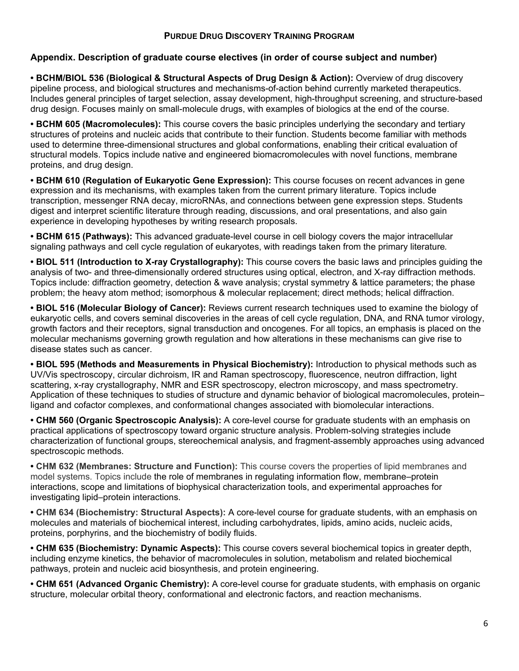## **Appendix. Description of graduate course electives (in order of course subject and number)**

**• BCHM/BIOL 536 (Biological & Structural Aspects of Drug Design & Action):** Overview of drug discovery pipeline process, and biological structures and mechanisms-of-action behind currently marketed therapeutics. Includes general principles of target selection, assay development, high-throughput screening, and structure-based drug design. Focuses mainly on small-molecule drugs, with examples of biologics at the end of the course.

**• BCHM 605 (Macromolecules):** This course covers the basic principles underlying the secondary and tertiary structures of proteins and nucleic acids that contribute to their function. Students become familiar with methods used to determine three-dimensional structures and global conformations, enabling their critical evaluation of structural models. Topics include native and engineered biomacromolecules with novel functions, membrane proteins, and drug design.

**• BCHM 610 (Regulation of Eukaryotic Gene Expression):** This course focuses on recent advances in gene expression and its mechanisms, with examples taken from the current primary literature. Topics include transcription, messenger RNA decay, microRNAs, and connections between gene expression steps. Students digest and interpret scientific literature through reading, discussions, and oral presentations, and also gain experience in developing hypotheses by writing research proposals.

**• BCHM 615 (Pathways):** This advanced graduate-level course in cell biology covers the major intracellular signaling pathways and cell cycle regulation of eukaryotes, with readings taken from the primary literature*.* 

**• BIOL 511 (Introduction to X-ray Crystallography):** This course covers the basic laws and principles guiding the analysis of two- and three-dimensionally ordered structures using optical, electron, and X-ray diffraction methods. Topics include: diffraction geometry, detection & wave analysis; crystal symmetry & lattice parameters; the phase problem; the heavy atom method; isomorphous & molecular replacement; direct methods; helical diffraction.

**• BIOL 516 (Molecular Biology of Cancer):** Reviews current research techniques used to examine the biology of eukaryotic cells, and covers seminal discoveries in the areas of cell cycle regulation, DNA, and RNA tumor virology, growth factors and their receptors, signal transduction and oncogenes. For all topics, an emphasis is placed on the molecular mechanisms governing growth regulation and how alterations in these mechanisms can give rise to disease states such as cancer.

**• BIOL 595 (Methods and Measurements in Physical Biochemistry):** Introduction to physical methods such as UV/Vis spectroscopy, circular dichroism, IR and Raman spectroscopy, fluorescence, neutron diffraction, light scattering, x-ray crystallography, NMR and ESR spectroscopy, electron microscopy, and mass spectrometry. Application of these techniques to studies of structure and dynamic behavior of biological macromolecules, protein– ligand and cofactor complexes, and conformational changes associated with biomolecular interactions.

**• CHM 560 (Organic Spectroscopic Analysis):** A core-level course for graduate students with an emphasis on practical applications of spectroscopy toward organic structure analysis. Problem-solving strategies include characterization of functional groups, stereochemical analysis, and fragment-assembly approaches using advanced spectroscopic methods.

**• CHM 632 (Membranes: Structure and Function):** This course covers the properties of lipid membranes and model systems. Topics include the role of membranes in regulating information flow, membrane–protein interactions, scope and limitations of biophysical characterization tools, and experimental approaches for investigating lipid–protein interactions.

**• CHM 634 (Biochemistry: Structural Aspects):** A core-level course for graduate students, with an emphasis on molecules and materials of biochemical interest, including carbohydrates, lipids, amino acids, nucleic acids, proteins, porphyrins, and the biochemistry of bodily fluids.

**• CHM 635 (Biochemistry: Dynamic Aspects):** This course covers several biochemical topics in greater depth, including enzyme kinetics, the behavior of macromolecules in solution, metabolism and related biochemical pathways, protein and nucleic acid biosynthesis, and protein engineering.

**• CHM 651 (Advanced Organic Chemistry):** A core-level course for graduate students, with emphasis on organic structure, molecular orbital theory, conformational and electronic factors, and reaction mechanisms.